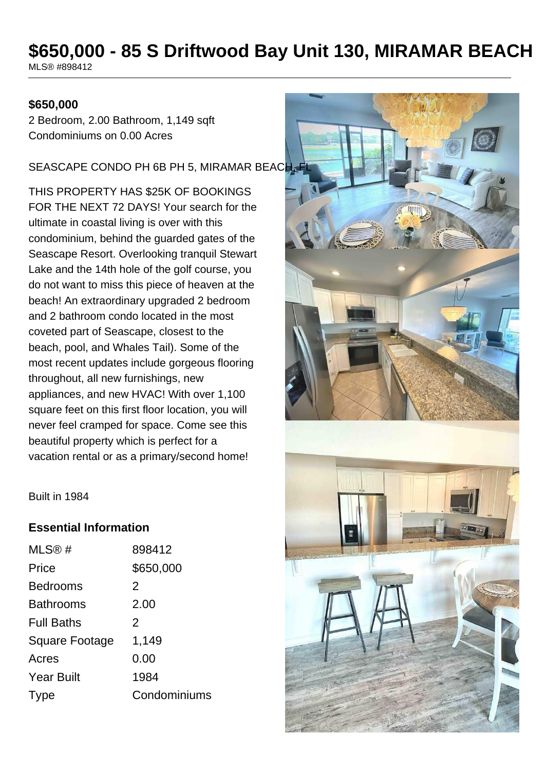# **\$650,000 - 85 S Driftwood Bay Unit 130, MIRAMAR BEACH**

MLS® #898412

### **\$650,000**

2 Bedroom, 2.00 Bathroom, 1,149 sqft Condominiums on 0.00 Acres

#### SEASCAPE CONDO PH 6B PH 5, MIRAMAR BEACH,

THIS PROPERTY HAS \$25K OF BOOKINGS FOR THE NEXT 72 DAYS! Your search for the ultimate in coastal living is over with this condominium, behind the guarded gates of the Seascape Resort. Overlooking tranquil Stewart Lake and the 14th hole of the golf course, you do not want to miss this piece of heaven at the beach! An extraordinary upgraded 2 bedroom and 2 bathroom condo located in the most coveted part of Seascape, closest to the beach, pool, and Whales Tail). Some of the most recent updates include gorgeous flooring throughout, all new furnishings, new appliances, and new HVAC! With over 1,100 square feet on this first floor location, you will never feel cramped for space. Come see this beautiful property which is perfect for a vacation rental or as a primary/second home!



Built in 1984

## **Essential Information**

| MLS@#                 | 898412        |
|-----------------------|---------------|
| Price                 | \$650,000     |
| <b>Bedrooms</b>       | 2             |
| <b>Bathrooms</b>      | 2.00          |
| <b>Full Baths</b>     | $\mathcal{P}$ |
| <b>Square Footage</b> | 1,149         |
| Acres                 | 0.00          |
| <b>Year Built</b>     | 1984          |
| <b>Type</b>           | Condominiums  |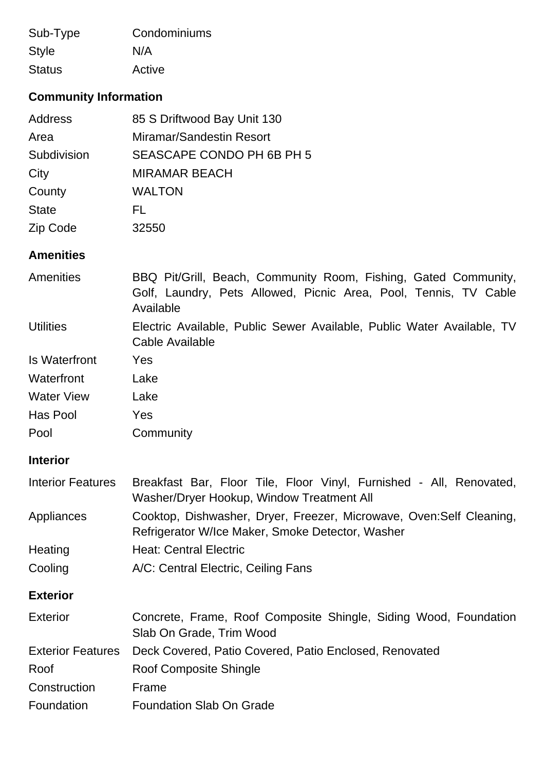| Sub-Type      | Condominiums |
|---------------|--------------|
| <b>Style</b>  | N/A          |
| <b>Status</b> | Active       |

# **Community Information**

| <b>Address</b> | 85 S Driftwood Bay Unit 130 |
|----------------|-----------------------------|
| Area           | Miramar/Sandestin Resort    |
| Subdivision    | SEASCAPE CONDO PH 6B PH 5   |
| City           | <b>MIRAMAR BEACH</b>        |
| County         | <b>WALTON</b>               |
| <b>State</b>   | FL.                         |
| Zip Code       | 32550                       |

# **Amenities**

| Amenities                | BBQ Pit/Grill, Beach, Community Room, Fishing, Gated Community,<br>Golf, Laundry, Pets Allowed, Picnic Area, Pool, Tennis, TV Cable<br>Available |
|--------------------------|--------------------------------------------------------------------------------------------------------------------------------------------------|
| <b>Utilities</b>         | Electric Available, Public Sewer Available, Public Water Available, TV<br>Cable Available                                                        |
| <b>Is Waterfront</b>     | Yes                                                                                                                                              |
| Waterfront               | Lake                                                                                                                                             |
| <b>Water View</b>        | Lake                                                                                                                                             |
| Has Pool                 | Yes                                                                                                                                              |
| Pool                     | Community                                                                                                                                        |
| <b>Interior</b>          |                                                                                                                                                  |
| <b>Interior Features</b> | Breakfast Bar, Floor Tile, Floor Vinyl, Furnished - All, Renovated,<br>Washer/Dryer Hookup, Window Treatment All                                 |
| Appliances               | Cooktop, Dishwasher, Dryer, Freezer, Microwave, Oven: Self Cleaning,<br>Refrigerator W/Ice Maker, Smoke Detector, Washer                         |
| Heating                  | <b>Heat: Central Electric</b>                                                                                                                    |
| Cooling                  | A/C: Central Electric, Ceiling Fans                                                                                                              |
| <b>Exterior</b>          |                                                                                                                                                  |
| <b>Exterior</b>          | Concrete, Frame, Roof Composite Shingle, Siding Wood, Foundation<br>Slab On Grade, Trim Wood                                                     |
| <b>Exterior Features</b> | Deck Covered, Patio Covered, Patio Enclosed, Renovated                                                                                           |
| Roof                     | Roof Composite Shingle                                                                                                                           |
| Construction             | Frame                                                                                                                                            |
| Foundation               | <b>Foundation Slab On Grade</b>                                                                                                                  |